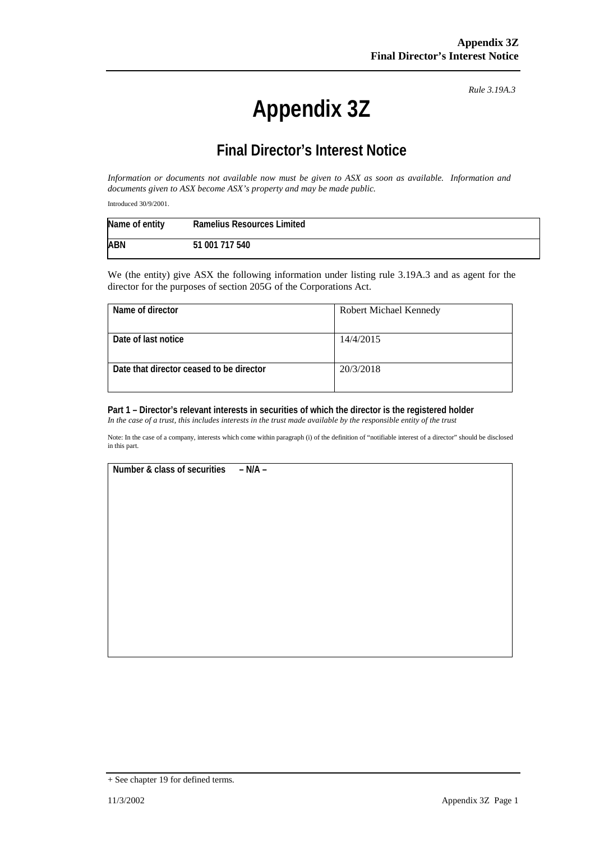# **Appendix 3Z**

*Rule 3.19A.3*

## **Final Director's Interest Notice**

*Information or documents not available now must be given to ASX as soon as available. Information and documents given to ASX become ASX's property and may be made public.*

Introduced 30/9/2001.

| Name of entity | <b>Ramelius Resources Limited</b> |
|----------------|-----------------------------------|
| ABN            | 51 001 717 540                    |

We (the entity) give ASX the following information under listing rule 3.19A.3 and as agent for the director for the purposes of section 205G of the Corporations Act.

| Name of director                         | Robert Michael Kennedy |
|------------------------------------------|------------------------|
|                                          |                        |
| Date of last notice                      | 14/4/2015              |
|                                          |                        |
| Date that director ceased to be director | 20/3/2018              |
|                                          |                        |

#### **Part 1 – Director's relevant interests in securities of which the director is the registered holder**

*In the case of a trust, this includes interests in the trust made available by the responsible entity of the trust*

Note: In the case of a company, interests which come within paragraph (i) of the definition of "notifiable interest of a director" should be disclosed in this part.

**Number & class of securities – N/A –**

<sup>+</sup> See chapter 19 for defined terms.